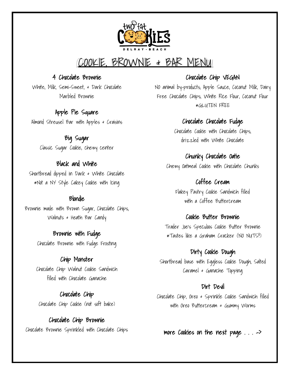

# COOKIE, BROWNIE & BAR MENU

### 4 Chocolate Brownie

White, Milk, Semi-Sweet, & Dark Chocolate Marbled Brownie

### Apple Pie Square

Almond Streusel Bar with Apples & Craisins

Big Sugar Classic Sugar Cookie, chewy center

## Black and White

Shortbread dipped in Dark & White Chocolate \*Not a NY Style Cakey Cookie with Icing

### Blondie

Brownie made with Brown Sugar, Chocolate Chips, Walnuts & Heath Bar Candy

> Brownie with Fudge Chocolate Brownie with Fudge Frosting

### Chip Monster

Chocolate Chip Walnut Cookie Sandwich filled with Chocolate Ganache

Chocolate Chip

Chocolate Chip Cookie (not soft bake)

Chocolate Chip Brownie Chocolate Brownie Sprinkled with Chocolate Chips

## Chocolate Chip VEGAN

NO animal by-products; Apple Sauce, Coconut Milk, Dairy Free Chocolate Chips, White Rice Flour, Coconut Flour \*GLUTEN FREE

# Chocolate Chocolate Fudge

Chocolate Cookie with Chocolate Chips, drizzled with White Chocolate

# Chunky Chocolate Oatie

Chewy Oatmeal Cookie with Chocolate Chunks

# Coffee Cream

Flakey Pastry Cookie Sandwich filled with a Coffee Buttercream

### Cookie Butter Brownie

Trader Joe's Speculoos Cookie Butter Brownie \*Tastes like a Graham Cracker (NO NUTS!!)

### Dirty Cookie Dough

Shortbread base with Eggless Cookie Dough, Salted Caramel & Ganache Topping

### Dirt Devil

Chocolate Chip, Oreo & Sprinkle Cookie Sandwich filled with Oreo Buttercream & Gummy Worms

more Cookies on the next page . . . ->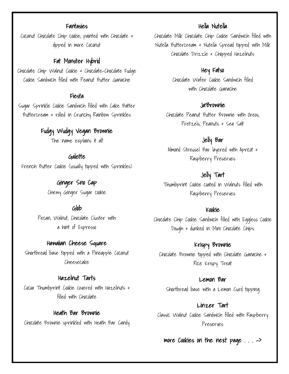### Fantasies

Coconut Chocolate Chip cookie, painted with Chocolate & dipped in more Coconut

### Fat Monster Hybrid

Chocolate Chip Walnut Cookie & Chocolate-Chocolate Fudge Cookie Sandwich filled with Peanut Butter Ganache

#### Fiesta

Sugar Sprinkle Cookie Sandwich filled with Cake Batter Buttercream & rolled in Crunchy Rainbow Sprinkles

# Fudgy Wudgy Vegan Brownie

The name explains it all!

### Galette

French Butter Cookie (usually topped with Sprinkles)

Ginger Sno Cap Chewy Ginger Sugar cookie

### Glob

Pecan, Walnut, Chocolate Cluster with a hint of Espresso

#### Hawaiian Cheese Square

Shortbread base topped with a Pineapple Coconut Cheesecake

### Hazelnut Tarts

Cocoa Thumbprint Cookie covered with Hazelnuts & filled with Chocolate

#### Heath Bar Brownie

Chocolate Brownie sprinkled with Heath Bar Candy

### Hella Nutella

Chocolate Milk Chocolate Chip Cookie Sandwich filled with Nutella Buttercream & Nutella Spread topped with Milk Chocolate Drizzle & Chopped Hazelnuts

### Hey Fatso

Chocolate Wafer Cookie Sandwich filled with Chocolate Ganache

#### Ja'Brownie

Chocolate Peanut Butter Brownie with Oreos, Pretzels, Peanuts & Sea Salt

# Jelly Bar

Almond Streusel Bar layered with Apricot & Raspberry Preserves

### Jelly Tart

Thumbprint Cookie coated in Walnuts filled with Raspberry Preserves

#### Kookie

Chocolate Chip Cookie Sandwich filled with Eggless Cookie Dough & dunked in Mini Chocolate Chips

# Krispy Brownie

Chocolate Brownie topped with Chocolate Ganache & Rice Krispy Treat

#### Lemon Bar

Shortbread base with a Lemon Curd topping

# Linzer Tart

Classic Walnut Cookie Sandwich filled with Raspberry Preserves

#### more Cookies on the next page . . . ->